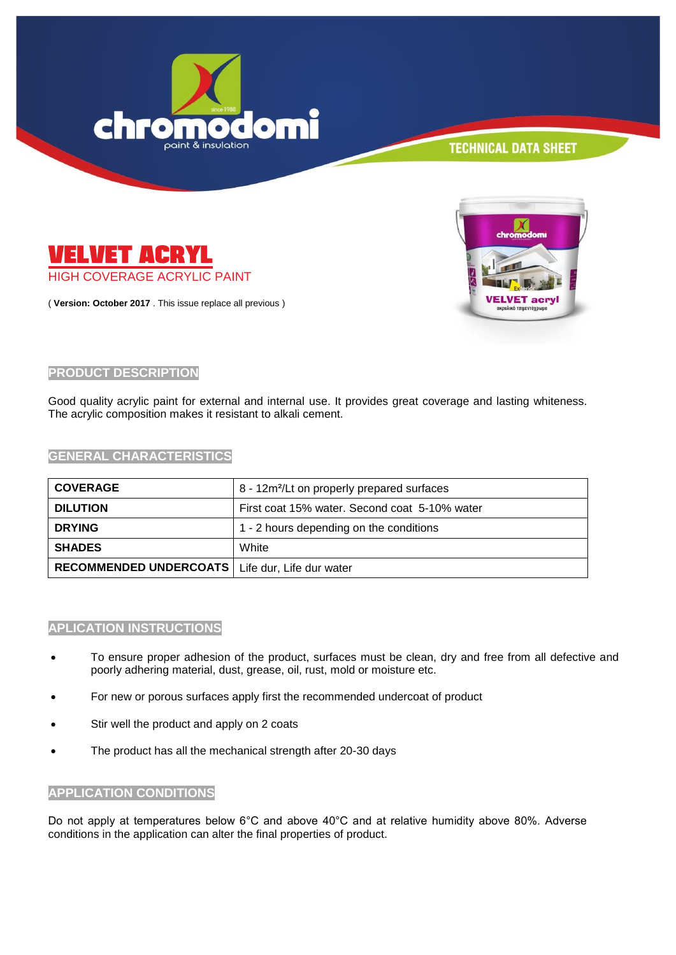



( **Version: October 2017** . This issue replace all previous )



## **PRODUCT DESCRIPTION**

Good quality acrylic paint for external and internal use. It provides great coverage and lasting whiteness. The acrylic composition makes it resistant to alkali cement.

**GENERAL CHARACTERISTICS**

| <b>COVERAGE</b>                                   | 8 - 12m <sup>2</sup> /Lt on properly prepared surfaces |
|---------------------------------------------------|--------------------------------------------------------|
| <b>DILUTION</b>                                   | First coat 15% water. Second coat 5-10% water          |
| <b>DRYING</b>                                     | 1 - 2 hours depending on the conditions                |
| <b>SHADES</b>                                     | White                                                  |
| RECOMMENDED UNDERCOATS   Life dur, Life dur water |                                                        |

#### **APLICATION INSTRUCTIONS**

- To ensure proper adhesion of the product, surfaces must be clean, dry and free from all defective and poorly adhering material, dust, grease, oil, rust, mold or moisture etc.
- For new or porous surfaces apply first the recommended undercoat of product
- Stir well the product and apply on 2 coats
- The product has all the mechanical strength after 20-30 days

#### **APPLICATION CONDITIONS**

Do not apply at temperatures below 6°C and above 40°C and at relative humidity above 80%. Adverse conditions in the application can alter the final properties of product.